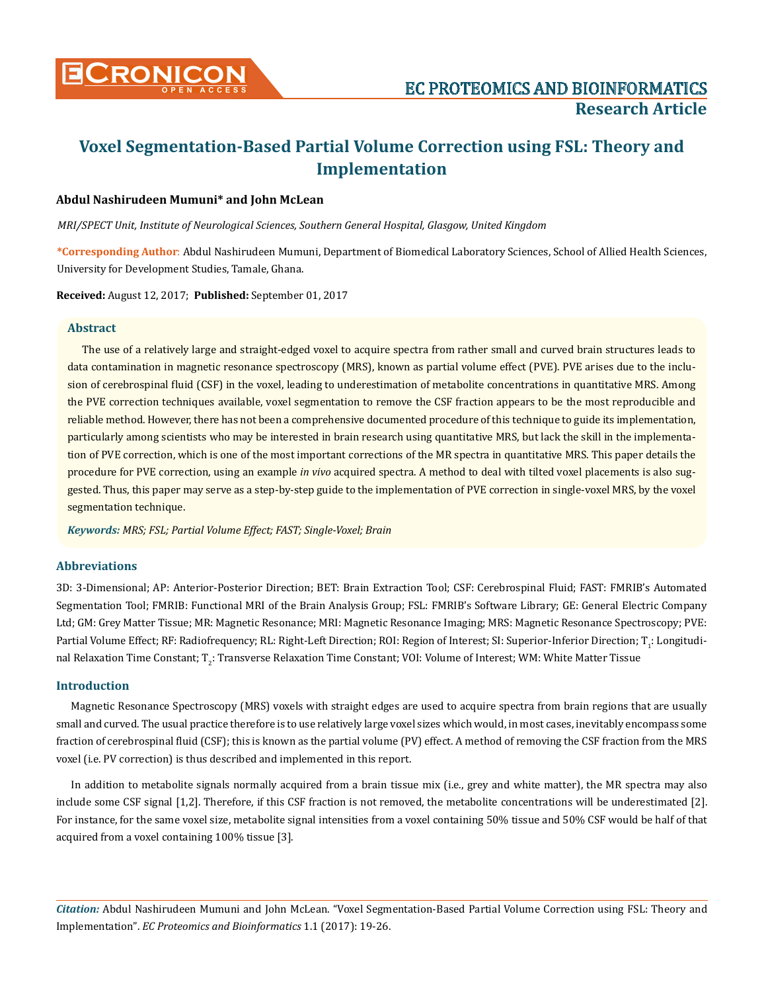

# **Voxel Segmentation-Based Partial Volume Correction using FSL: Theory and Implementation**

## **Abdul Nashirudeen Mumuni\* and John McLean**

*MRI/SPECT Unit, Institute of Neurological Sciences, Southern General Hospital, Glasgow, United Kingdom*

**\*Corresponding Author**: Abdul Nashirudeen Mumuni, Department of Biomedical Laboratory Sciences, School of Allied Health Sciences, University for Development Studies, Tamale, Ghana.

**Received:** August 12, 2017; **Published:** September 01, 2017

## **Abstract**

The use of a relatively large and straight-edged voxel to acquire spectra from rather small and curved brain structures leads to data contamination in magnetic resonance spectroscopy (MRS), known as partial volume effect (PVE). PVE arises due to the inclusion of cerebrospinal fluid (CSF) in the voxel, leading to underestimation of metabolite concentrations in quantitative MRS. Among the PVE correction techniques available, voxel segmentation to remove the CSF fraction appears to be the most reproducible and reliable method. However, there has not been a comprehensive documented procedure of this technique to guide its implementation, particularly among scientists who may be interested in brain research using quantitative MRS, but lack the skill in the implementation of PVE correction, which is one of the most important corrections of the MR spectra in quantitative MRS. This paper details the procedure for PVE correction, using an example *in vivo* acquired spectra. A method to deal with tilted voxel placements is also suggested. Thus, this paper may serve as a step-by-step guide to the implementation of PVE correction in single-voxel MRS, by the voxel segmentation technique.

*Keywords: MRS; FSL; Partial Volume Effect; FAST; Single-Voxel; Brain*

# **Abbreviations**

3D: 3-Dimensional; AP: Anterior-Posterior Direction; BET: Brain Extraction Tool; CSF: Cerebrospinal Fluid; FAST: FMRIB's Automated Segmentation Tool; FMRIB: Functional MRI of the Brain Analysis Group; FSL: FMRIB's Software Library; GE: General Electric Company Ltd; GM: Grey Matter Tissue; MR: Magnetic Resonance; MRI: Magnetic Resonance Imaging; MRS: Magnetic Resonance Spectroscopy; PVE: Partial Volume Effect; RF: Radiofrequency; RL: Right-Left Direction; ROI: Region of Interest; SI: Superior-Inferior Direction; T<sub>1</sub>: Longitudinal Relaxation Time Constant; T $_2$ : Transverse Relaxation Time Constant; VOI: Volume of Interest; WM: White Matter Tissue

## **Introduction**

Magnetic Resonance Spectroscopy (MRS) voxels with straight edges are used to acquire spectra from brain regions that are usually small and curved. The usual practice therefore is to use relatively large voxel sizes which would, in most cases, inevitably encompass some fraction of cerebrospinal fluid (CSF); this is known as the partial volume (PV) effect. A method of removing the CSF fraction from the MRS voxel (i.e. PV correction) is thus described and implemented in this report.

In addition to metabolite signals normally acquired from a brain tissue mix (i.e., grey and white matter), the MR spectra may also include some CSF signal [1,2]. Therefore, if this CSF fraction is not removed, the metabolite concentrations will be underestimated [2]. For instance, for the same voxel size, metabolite signal intensities from a voxel containing 50% tissue and 50% CSF would be half of that acquired from a voxel containing 100% tissue [3].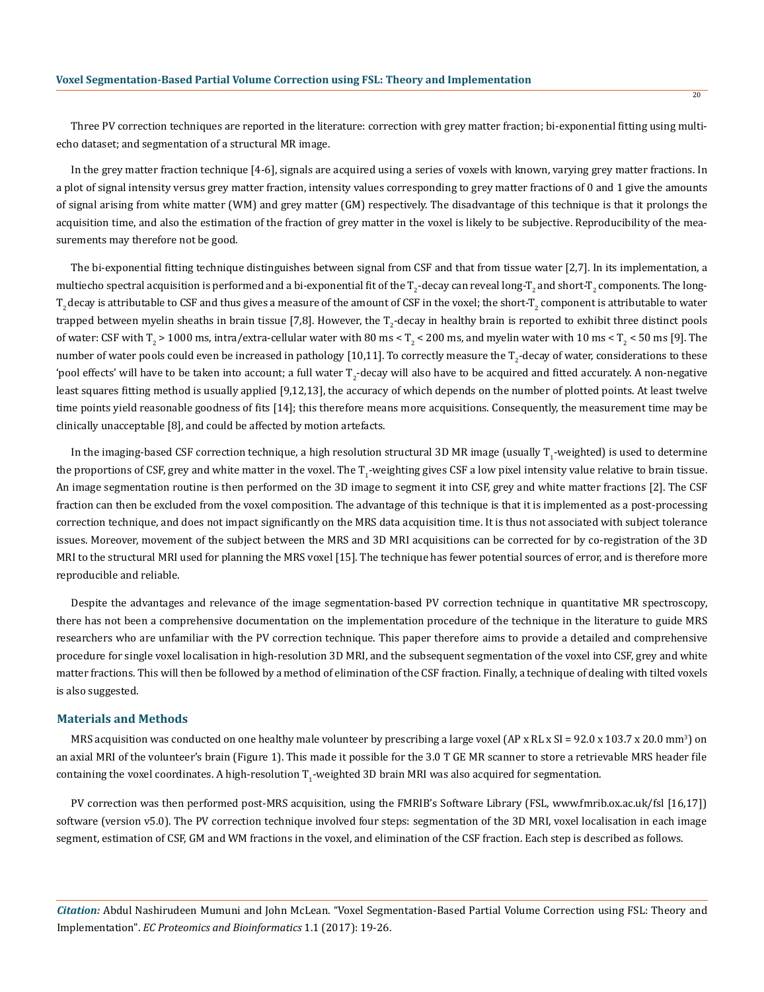Three PV correction techniques are reported in the literature: correction with grey matter fraction; bi-exponential fitting using multiecho dataset; and segmentation of a structural MR image.

In the grey matter fraction technique [4-6], signals are acquired using a series of voxels with known, varying grey matter fractions. In a plot of signal intensity versus grey matter fraction, intensity values corresponding to grey matter fractions of 0 and 1 give the amounts of signal arising from white matter (WM) and grey matter (GM) respectively. The disadvantage of this technique is that it prolongs the acquisition time, and also the estimation of the fraction of grey matter in the voxel is likely to be subjective. Reproducibility of the measurements may therefore not be good.

The bi-exponential fitting technique distinguishes between signal from CSF and that from tissue water [2,7]. In its implementation, a multiecho spectral acquisition is performed and a bi-exponential fit of the T $_2$ -decay can reveal long-T $_2$  and short-T $_2$  components. The long- $\rm T_2$  decay is attributable to CSF and thus gives a measure of the amount of CSF in the voxel; the short-T $_2$  component is attributable to water trapped between myelin sheaths in brain tissue [7,8]. However, the T<sub>2</sub>-decay in healthy brain is reported to exhibit three distinct pools of water: CSF with T<sub>2</sub> > 1000 ms, intra/extra-cellular water with 80 ms < T<sub>2</sub> < 200 ms, and myelin water with 10 ms < T<sub>2</sub> < 50 ms [9]. The number of water pools could even be increased in pathology [10,11]. To correctly measure the T<sub>2</sub>-decay of water, considerations to these 'pool effects' will have to be taken into account; a full water T<sub>2</sub>-decay will also have to be acquired and fitted accurately. A non-negative least squares fitting method is usually applied [9,12,13], the accuracy of which depends on the number of plotted points. At least twelve time points yield reasonable goodness of fits [14]; this therefore means more acquisitions. Consequently, the measurement time may be clinically unacceptable [8], and could be affected by motion artefacts.

In the imaging-based CSF correction technique, a high resolution structural 3D MR image (usually T<sub>1</sub>-weighted) is used to determine the proportions of CSF, grey and white matter in the voxel. The T<sub>1</sub>-weighting gives CSF a low pixel intensity value relative to brain tissue. An image segmentation routine is then performed on the 3D image to segment it into CSF, grey and white matter fractions [2]. The CSF fraction can then be excluded from the voxel composition. The advantage of this technique is that it is implemented as a post-processing correction technique, and does not impact significantly on the MRS data acquisition time. It is thus not associated with subject tolerance issues. Moreover, movement of the subject between the MRS and 3D MRI acquisitions can be corrected for by co-registration of the 3D MRI to the structural MRI used for planning the MRS voxel [15]. The technique has fewer potential sources of error, and is therefore more reproducible and reliable.

Despite the advantages and relevance of the image segmentation-based PV correction technique in quantitative MR spectroscopy, there has not been a comprehensive documentation on the implementation procedure of the technique in the literature to guide MRS researchers who are unfamiliar with the PV correction technique. This paper therefore aims to provide a detailed and comprehensive procedure for single voxel localisation in high-resolution 3D MRI, and the subsequent segmentation of the voxel into CSF, grey and white matter fractions. This will then be followed by a method of elimination of the CSF fraction. Finally, a technique of dealing with tilted voxels is also suggested.

#### **Materials and Methods**

MRS acquisition was conducted on one healthy male volunteer by prescribing a large voxel (AP x RL x SI = 92.0 x 103.7 x 20.0 mm<sup>3</sup>) on an axial MRI of the volunteer's brain (Figure 1). This made it possible for the 3.0 T GE MR scanner to store a retrievable MRS header file containing the voxel coordinates. A high-resolution  $\mathrm{T_i}\text{-weighted}$  3D brain MRI was also acquired for segmentation.

PV correction was then performed post-MRS acquisition, using the FMRIB's Software Library (FSL, www.fmrib.ox.ac.uk/fsl [16,17]) software (version v5.0). The PV correction technique involved four steps: segmentation of the 3D MRI, voxel localisation in each image segment, estimation of CSF, GM and WM fractions in the voxel, and elimination of the CSF fraction. Each step is described as follows.

*Citation:* Abdul Nashirudeen Mumuni and John McLean. "Voxel Segmentation-Based Partial Volume Correction using FSL: Theory and Implementation". *EC Proteomics and Bioinformatics* 1.1 (2017): 19-26.

20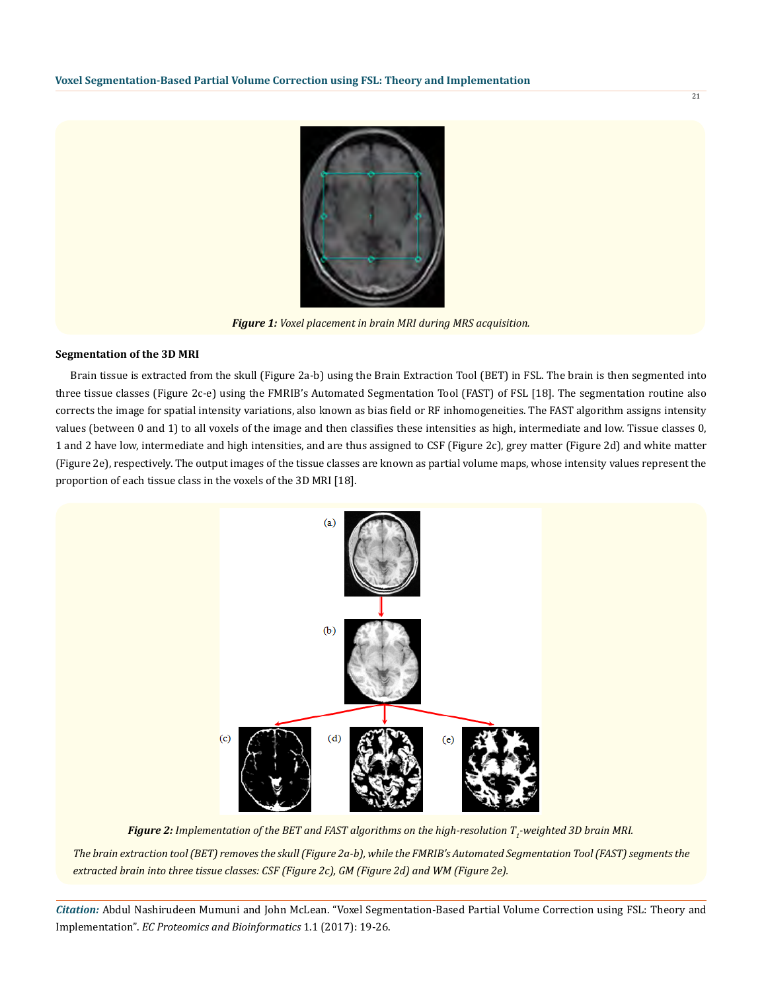

*Figure 1: Voxel placement in brain MRI during MRS acquisition.*

## **Segmentation of the 3D MRI**

Brain tissue is extracted from the skull (Figure 2a-b) using the Brain Extraction Tool (BET) in FSL. The brain is then segmented into three tissue classes (Figure 2c-e) using the FMRIB's Automated Segmentation Tool (FAST) of FSL [18]. The segmentation routine also corrects the image for spatial intensity variations, also known as bias field or RF inhomogeneities. The FAST algorithm assigns intensity values (between 0 and 1) to all voxels of the image and then classifies these intensities as high, intermediate and low. Tissue classes 0, 1 and 2 have low, intermediate and high intensities, and are thus assigned to CSF (Figure 2c), grey matter (Figure 2d) and white matter (Figure 2e), respectively. The output images of the tissue classes are known as partial volume maps, whose intensity values represent the proportion of each tissue class in the voxels of the 3D MRI [18].



*Figure 2: Implementation of the BET and FAST algorithms on the high-resolution T1 -weighted 3D brain MRI. The brain extraction tool (BET) removes the skull (Figure 2a-b), while the FMRIB's Automated Segmentation Tool (FAST) segments the extracted brain into three tissue classes: CSF (Figure 2c), GM (Figure 2d) and WM (Figure 2e).*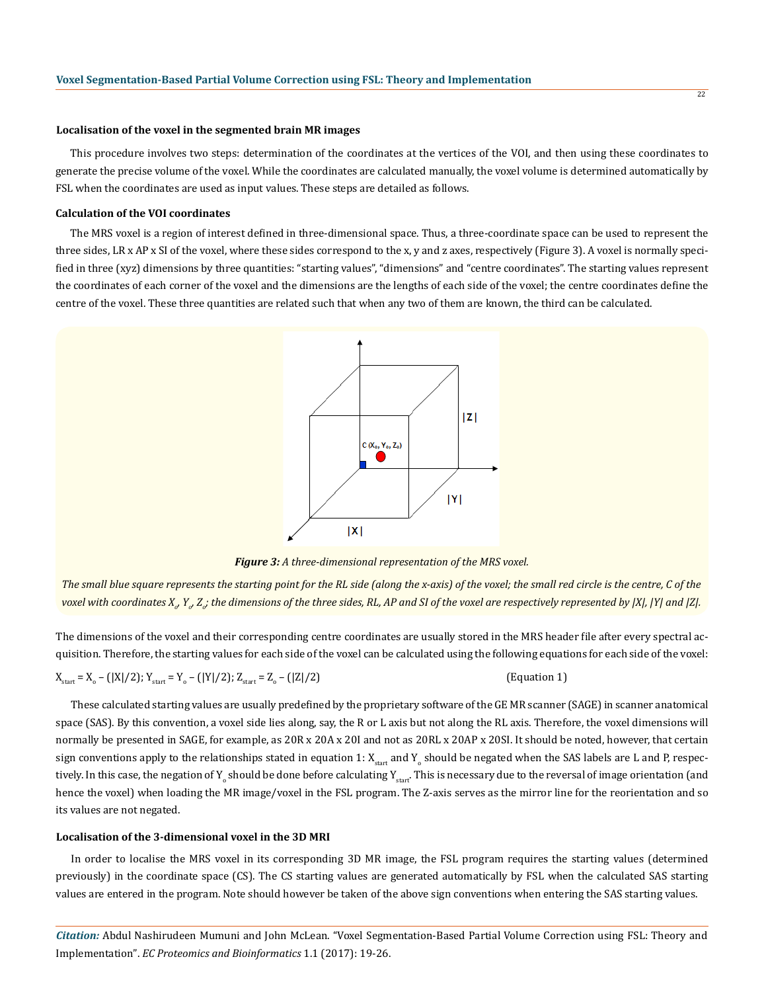#### **Localisation of the voxel in the segmented brain MR images**

This procedure involves two steps: determination of the coordinates at the vertices of the VOI, and then using these coordinates to generate the precise volume of the voxel. While the coordinates are calculated manually, the voxel volume is determined automatically by FSL when the coordinates are used as input values. These steps are detailed as follows.

## **Calculation of the VOI coordinates**

The MRS voxel is a region of interest defined in three-dimensional space. Thus, a three-coordinate space can be used to represent the three sides, LR x AP x SI of the voxel, where these sides correspond to the x, y and z axes, respectively (Figure 3). A voxel is normally specified in three (xyz) dimensions by three quantities: "starting values", "dimensions" and "centre coordinates". The starting values represent the coordinates of each corner of the voxel and the dimensions are the lengths of each side of the voxel; the centre coordinates define the centre of the voxel. These three quantities are related such that when any two of them are known, the third can be calculated.



*Figure 3: A three-dimensional representation of the MRS voxel.*

*The small blue square represents the starting point for the RL side (along the x-axis) of the voxel; the small red circle is the centre, C of the*  voxel with coordinates X<sub>o</sub>, Y<sub>o</sub>, Z<sub>o</sub>; the dimensions of the three sides, RL, AP and SI of the voxel are respectively represented by |X|, |Y| and |Z|.

The dimensions of the voxel and their corresponding centre coordinates are usually stored in the MRS header file after every spectral acquisition. Therefore, the starting values for each side of the voxel can be calculated using the following equations for each side of the voxel:

 $X_{\text{start}} = X_{\text{o}} - (|X|/2); Y_{\text{start}} = Y_{\text{o}} - (|Y|/2); Z_{\text{start}} = Z_{\text{o}}$ 

(Equation 1)

These calculated starting values are usually predefined by the proprietary software of the GE MR scanner (SAGE) in scanner anatomical space (SAS). By this convention, a voxel side lies along, say, the R or L axis but not along the RL axis. Therefore, the voxel dimensions will normally be presented in SAGE, for example, as 20R x 20A x 20I and not as 20RL x 20AP x 20SI. It should be noted, however, that certain sign conventions apply to the relationships stated in equation  $1:$   $X_{\rm start}$  and  $Y_{_0}$  should be negated when the SAS labels are L and P, respectively. In this case, the negation of  $\rm{Y}_{o}$  should be done before calculating  $\rm{Y}_{start}$ . This is necessary due to the reversal of image orientation (and hence the voxel) when loading the MR image/voxel in the FSL program. The Z-axis serves as the mirror line for the reorientation and so its values are not negated.

#### **Localisation of the 3-dimensional voxel in the 3D MRI**

In order to localise the MRS voxel in its corresponding 3D MR image, the FSL program requires the starting values (determined previously) in the coordinate space (CS). The CS starting values are generated automatically by FSL when the calculated SAS starting values are entered in the program. Note should however be taken of the above sign conventions when entering the SAS starting values.

*Citation:* Abdul Nashirudeen Mumuni and John McLean. "Voxel Segmentation-Based Partial Volume Correction using FSL: Theory and Implementation". *EC Proteomics and Bioinformatics* 1.1 (2017): 19-26.

22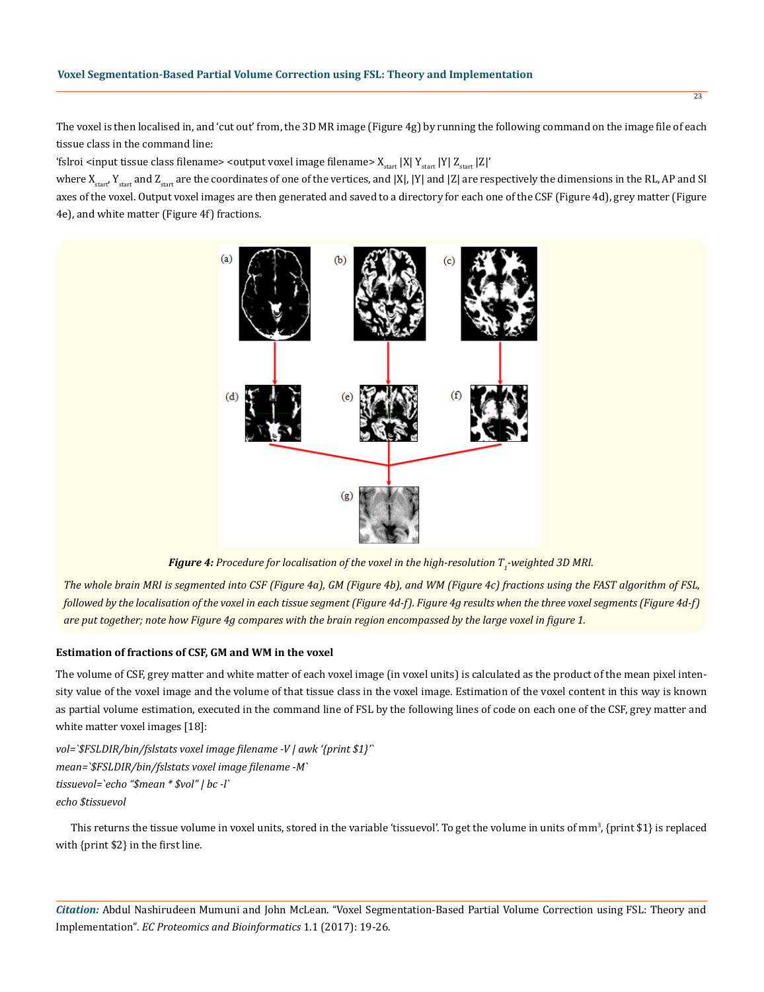The voxel is then localised in, and 'cut out' from, the 3D MR image (Figure 4g) by running the following command on the image file of each tissue class in the command line:

'fslroi <input tissue class filename> <output voxel image filename>  $X_{start}$  |X|  $Y_{start}$  |Y|  $Z_{start}$  |Z|'

where  $X_{start}$ ,  $Y_{start}$  and  $Z_{start}$  are the coordinates of one of the vertices, and |X|, |Y| and |Z| are respectively the dimensions in the RL, AP and SI axes of the voxel. Output voxel images are then generated and saved to a directory for each one of the CSF (Figure 4d), grey matter (Figure 4e), and white matter (Figure 4f) fractions.



 ${\it Figure 4}$ : Procedure for localisation of the voxel in the high-resolution T<sub>1</sub>-weighted 3D MRI.

*The whole brain MRI is segmented into CSF (Figure 4a), GM (Figure 4b), and WM (Figure 4c) fractions using the FAST algorithm of FSL, followed by the localisation of the voxel in each tissue segment (Figure 4d-f). Figure 4g results when the three voxel segments (Figure 4d-f) are put together; note how Figure 4g compares with the brain region encompassed by the large voxel in figure 1.*

## **Estimation of fractions of CSF, GM and WM in the voxel**

The volume of CSF, grey matter and white matter of each voxel image (in voxel units) is calculated as the product of the mean pixel intensity value of the voxel image and the volume of that tissue class in the voxel image. Estimation of the voxel content in this way is known as partial volume estimation, executed in the command line of FSL by the following lines of code on each one of the CSF, grey matter and white matter voxel images [18]:

*vol=`\$FSLDIR/bin/fslstats voxel image filename -V | awk '{print \$1}'` mean=`\$FSLDIR/bin/fslstats voxel image filename -M` tissuevol=`echo "\$mean \* \$vol" | bc -l` echo \$tissuevol*

This returns the tissue volume in voxel units, stored in the variable 'tissuevol'. To get the volume in units of mm $^3$ , {print \$1} is replaced with {print \$2} in the first line.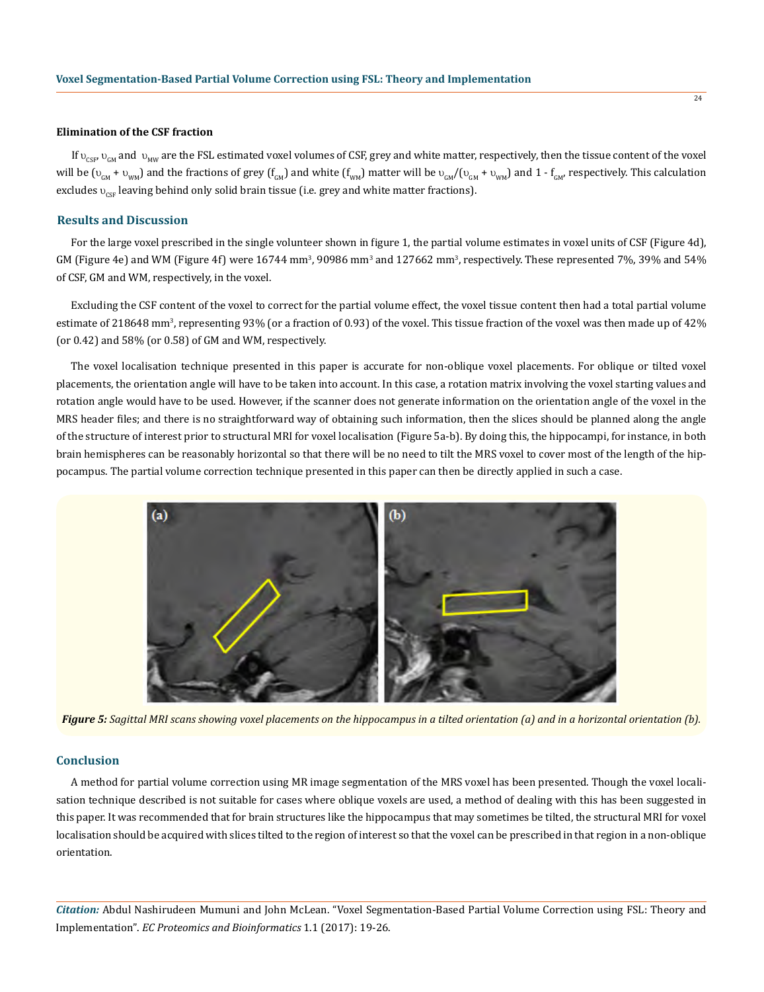#### **Elimination of the CSF fraction**

If  $v_{\text{cyc}} v_{\text{cav}}$  and  $v_{\text{MW}}$  are the FSL estimated voxel volumes of CSF, grey and white matter, respectively, then the tissue content of the voxel will be ( $v_{GM}$  +  $v_{WM}$ ) and the fractions of grey ( $f_{GM}$ ) and white ( $f_{WM}$ ) matter will be  $v_{GM}/(v_{GM} + v_{WM})$  and 1 -  $f_{GM}$ , respectively. This calculation excludes  $v_{\text{csc}}$  leaving behind only solid brain tissue (i.e. grey and white matter fractions).

## **Results and Discussion**

For the large voxel prescribed in the single volunteer shown in figure 1, the partial volume estimates in voxel units of CSF (Figure 4d),  $GM$  (Figure 4e) and WM (Figure 4f) were  $16744$  mm $^3$ , 90986 mm $^3$  and  $127662$  mm $^3$ , respectively. These represented 7%, 39% and 54% of CSF, GM and WM, respectively, in the voxel.

Excluding the CSF content of the voxel to correct for the partial volume effect, the voxel tissue content then had a total partial volume estimate of 218648 mm<sup>3</sup>, representing 93% (or a fraction of 0.93) of the voxel. This tissue fraction of the voxel was then made up of 42% (or 0.42) and 58% (or 0.58) of GM and WM, respectively.

The voxel localisation technique presented in this paper is accurate for non-oblique voxel placements. For oblique or tilted voxel placements, the orientation angle will have to be taken into account. In this case, a rotation matrix involving the voxel starting values and rotation angle would have to be used. However, if the scanner does not generate information on the orientation angle of the voxel in the MRS header files; and there is no straightforward way of obtaining such information, then the slices should be planned along the angle of the structure of interest prior to structural MRI for voxel localisation (Figure 5a-b). By doing this, the hippocampi, for instance, in both brain hemispheres can be reasonably horizontal so that there will be no need to tilt the MRS voxel to cover most of the length of the hippocampus. The partial volume correction technique presented in this paper can then be directly applied in such a case.



*Figure 5: Sagittal MRI scans showing voxel placements on the hippocampus in a tilted orientation (a) and in a horizontal orientation (b).*

## **Conclusion**

A method for partial volume correction using MR image segmentation of the MRS voxel has been presented. Though the voxel localisation technique described is not suitable for cases where oblique voxels are used, a method of dealing with this has been suggested in this paper. It was recommended that for brain structures like the hippocampus that may sometimes be tilted, the structural MRI for voxel localisation should be acquired with slices tilted to the region of interest so that the voxel can be prescribed in that region in a non-oblique orientation.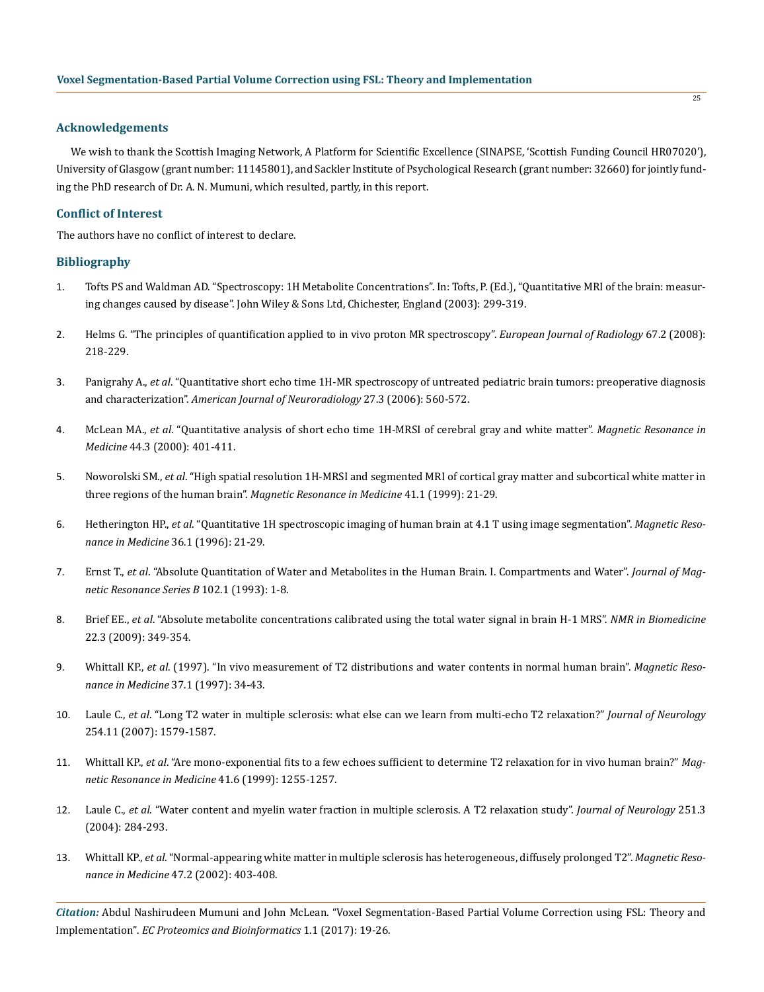# **Acknowledgements**

We wish to thank the Scottish Imaging Network, A Platform for Scientific Excellence (SINAPSE, 'Scottish Funding Council HR07020'), University of Glasgow (grant number: 11145801), and Sackler Institute of Psychological Research (grant number: 32660) for jointly funding the PhD research of Dr. A. N. Mumuni, which resulted, partly, in this report.

# **Conflict of Interest**

The authors have no conflict of interest to declare.

# **Bibliography**

- 1. Tofts PS and Waldman AD. "Spectroscopy: 1H Metabolite Concentrations". In: Tofts, P. (Ed.), "Quantitative MRI of the brain: measuring changes caused by disease". John Wiley & Sons Ltd, Chichester, England (2003): 299-319.
- 2. [Helms G. "The principles of quantification applied to in vivo proton MR spectroscopy".](https://www.ncbi.nlm.nih.gov/pubmed/18434059) *European Journal of Radiology* 67.2 (2008): [218-229.](https://www.ncbi.nlm.nih.gov/pubmed/18434059)
- 3. Panigrahy A., *et al*[. "Quantitative short echo time 1H-MR spectroscopy of untreated pediatric brain tumors: preoperative diagnosis](https://www.ncbi.nlm.nih.gov/pubmed/16551993)  and characterization". *[American Journal of Neuroradiology](https://www.ncbi.nlm.nih.gov/pubmed/16551993)* 27.3 (2006): 560-572.
- 4. McLean MA., *et al*[. "Quantitative analysis of short echo time 1H-MRSI of cerebral gray and white matter".](http://onlinelibrary.wiley.com/doi/10.1002/1522-2594(200009)44:3%3C401::AID-MRM10%3E3.0.CO;2-W/abstract) *Magnetic Resonance in Medicine* [44.3 \(2000\): 401-411.](http://onlinelibrary.wiley.com/doi/10.1002/1522-2594(200009)44:3%3C401::AID-MRM10%3E3.0.CO;2-W/abstract)
- 5. Noworolski SM., *et al*[. "High spatial resolution 1H-MRSI and segmented MRI of cortical gray matter and subcortical white matter in](https://www.ncbi.nlm.nih.gov/pubmed/10025607)  three regions of the human brain". *[Magnetic Resonance in Medicine](https://www.ncbi.nlm.nih.gov/pubmed/10025607)* 41.1 (1999): 21-29.
- 6. Hetherington HP., *et al*[. "Quantitative 1H spectroscopic imaging of human brain at 4.1 T using image segmentation".](https://www.ncbi.nlm.nih.gov/pubmed/8795016) *Magnetic Reso[nance in Medicine](https://www.ncbi.nlm.nih.gov/pubmed/8795016)* 36.1 (1996): 21-29.
- 7. Ernst T., *et al*[. "Absolute Quantitation of Water and Metabolites in the Human Brain. I. Compartments and Water".](http://www.sciencedirect.com/science/article/pii/S1064186683710551) *Journal of Mag[netic Resonance Series B](http://www.sciencedirect.com/science/article/pii/S1064186683710551)* 102.1 (1993): 1-8.
- 8. Brief EE., *et al*[. "Absolute metabolite concentrations calibrated using the total water signal in brain H-1 MRS".](http://onlinelibrary.wiley.com/doi/10.1002/nbm.1349/abstract) *NMR in Biomedicine* [22.3 \(2009\): 349-354.](http://onlinelibrary.wiley.com/doi/10.1002/nbm.1349/abstract)
- 9. Whittall KP., *et al*[. \(1997\). "In vivo measurement of T2 distributions and water contents in normal human brain".](https://www.ncbi.nlm.nih.gov/pubmed/8978630) *Magnetic Reso[nance in Medicine](https://www.ncbi.nlm.nih.gov/pubmed/8978630)* 37.1 (1997): 34-43.
- 10. Laule C., *et al*[. "Long T2 water in multiple sclerosis: what else can we learn from multi-echo T2 relaxation?"](https://www.ncbi.nlm.nih.gov/pubmed/17762945) *Journal of Neurology* [254.11 \(2007\): 1579-1587.](https://www.ncbi.nlm.nih.gov/pubmed/17762945)
- 11. Whittall KP., *et al*[. "Are mono-exponential fits to a few echoes sufficient to determine T2 relaxation for in vivo human brain?"](https://www.ncbi.nlm.nih.gov/pubmed/10371459) *Mag[netic Resonance in Medicine](https://www.ncbi.nlm.nih.gov/pubmed/10371459)* 41.6 (1999): 1255-1257.
- 12. Laule C., *et al*[. "Water content and myelin water fraction in multiple sclerosis. A T2 relaxation study".](https://www.researchgate.net/publication/5423408_Water_content_and_myelin_water_fraction_in_multiple_sclerosis_A_T2_relaxation_study) *Journal of Neurology* 251.3 [\(2004\): 284-293.](https://www.researchgate.net/publication/5423408_Water_content_and_myelin_water_fraction_in_multiple_sclerosis_A_T2_relaxation_study)
- 13. Whittall KP., *et al*[. "Normal-appearing white matter in multiple sclerosis has heterogeneous, diffusely prolonged T2".](http://onlinelibrary.wiley.com/doi/10.1002/mrm.10076/abstract) *Magnetic Resonance in Medicine* [47.2 \(2002\): 403-408.](http://onlinelibrary.wiley.com/doi/10.1002/mrm.10076/abstract)

*Citation:* Abdul Nashirudeen Mumuni and John McLean. "Voxel Segmentation-Based Partial Volume Correction using FSL: Theory and Implementation". *EC Proteomics and Bioinformatics* 1.1 (2017): 19-26.

 $\frac{1}{25}$